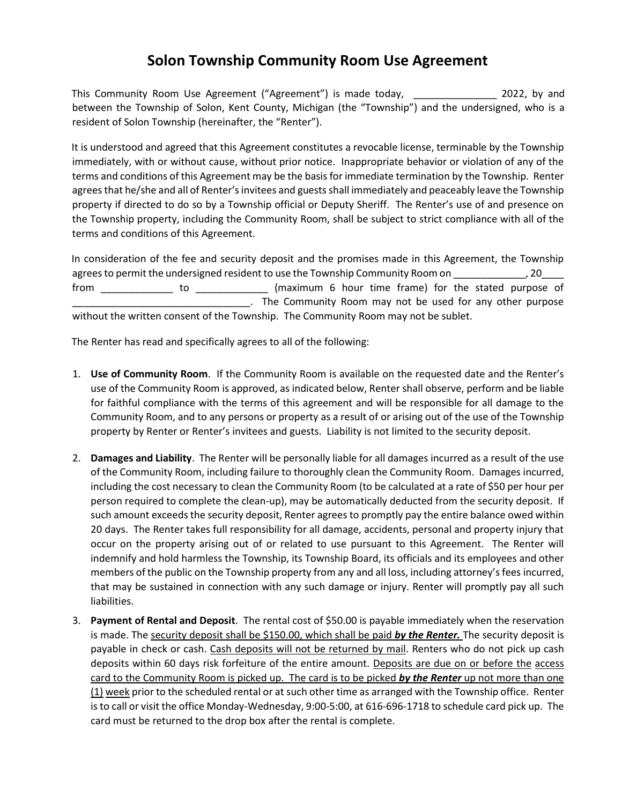## **Solon Township Community Room Use Agreement**

This Community Room Use Agreement ("Agreement") is made today, \_\_\_\_\_\_\_\_\_\_\_\_\_\_\_\_ 2022, by and between the Township of Solon, Kent County, Michigan (the "Township") and the undersigned, who is a resident of Solon Township (hereinafter, the "Renter").

It is understood and agreed that this Agreement constitutes a revocable license, terminable by the Township immediately, with or without cause, without prior notice. Inappropriate behavior or violation of any of the terms and conditions of this Agreement may be the basis for immediate termination by the Township. Renter agrees that he/she and all of Renter's invitees and guests shall immediately and peaceably leave the Township property if directed to do so by a Township official or Deputy Sheriff. The Renter's use of and presence on the Township property, including the Community Room, shall be subject to strict compliance with all of the terms and conditions of this Agreement.

In consideration of the fee and security deposit and the promises made in this Agreement, the Township agrees to permit the undersigned resident to use the Township Community Room on \_\_\_\_\_\_\_\_\_\_\_\_, 20\_\_\_\_ from \_\_\_\_\_\_\_\_\_\_\_\_\_\_\_ to \_\_\_\_\_\_\_\_\_\_\_\_\_\_\_ (maximum 6 hour time frame) for the stated purpose of . The Community Room may not be used for any other purpose without the written consent of the Township. The Community Room may not be sublet.

The Renter has read and specifically agrees to all of the following:

- 1. **Use of Community Room**. If the Community Room is available on the requested date and the Renter's use of the Community Room is approved, as indicated below, Renter shall observe, perform and be liable for faithful compliance with the terms of this agreement and will be responsible for all damage to the Community Room, and to any persons or property as a result of or arising out of the use of the Township property by Renter or Renter's invitees and guests. Liability is not limited to the security deposit.
- 2. **Damages and Liability**. The Renter will be personally liable for all damages incurred as a result of the use of the Community Room, including failure to thoroughly clean the Community Room. Damages incurred, including the cost necessary to clean the Community Room (to be calculated at a rate of \$50 per hour per person required to complete the clean-up), may be automatically deducted from the security deposit. If such amount exceeds the security deposit, Renter agrees to promptly pay the entire balance owed within 20 days. The Renter takes full responsibility for all damage, accidents, personal and property injury that occur on the property arising out of or related to use pursuant to this Agreement. The Renter will indemnify and hold harmless the Township, its Township Board, its officials and its employees and other members of the public on the Township property from any and all loss, including attorney's fees incurred, that may be sustained in connection with any such damage or injury. Renter will promptly pay all such liabilities.
- 3. **Payment of Rental and Deposit**. The rental cost of \$50.00 is payable immediately when the reservation is made. The security deposit shall be \$150.00, which shall be paid *by the Renter.* The security deposit is payable in check or cash. Cash deposits will not be returned by mail. Renters who do not pick up cash deposits within 60 days risk forfeiture of the entire amount. Deposits are due on or before the access card to the Community Room is picked up. The card is to be picked *by the Renter* up not more than one (1) week prior to the scheduled rental or at such other time as arranged with the Township office. Renter is to call or visit the office Monday-Wednesday, 9:00-5:00, at 616-696-1718 to schedule card pick up. The card must be returned to the drop box after the rental is complete.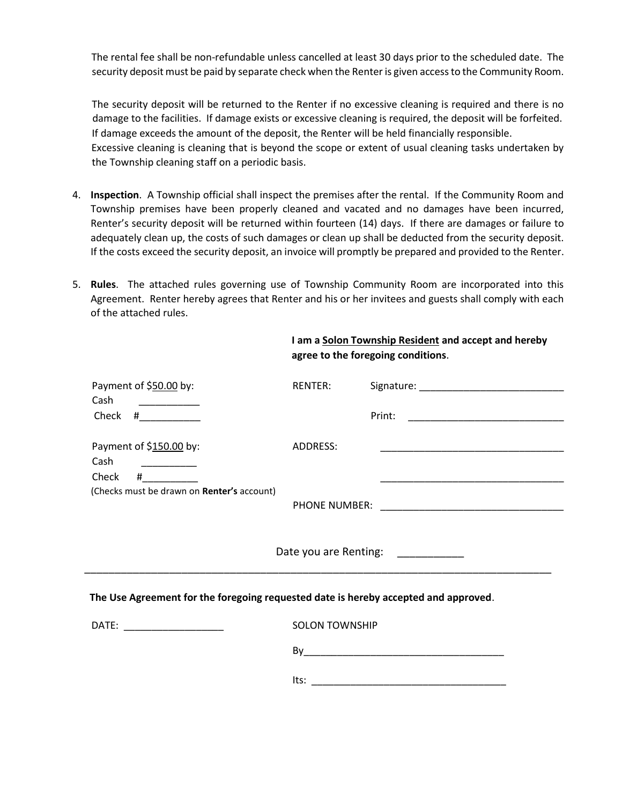The rental fee shall be non-refundable unless cancelled at least 30 days prior to the scheduled date. The security deposit must be paid by separate check when the Renter is given access to the Community Room.

The security deposit will be returned to the Renter if no excessive cleaning is required and there is no damage to the facilities. If damage exists or excessive cleaning is required, the deposit will be forfeited. If damage exceeds the amount of the deposit, the Renter will be held financially responsible. Excessive cleaning is cleaning that is beyond the scope or extent of usual cleaning tasks undertaken by the Township cleaning staff on a periodic basis.

- 4. **Inspection**. A Township official shall inspect the premises after the rental. If the Community Room and Township premises have been properly cleaned and vacated and no damages have been incurred, Renter's security deposit will be returned within fourteen (14) days. If there are damages or failure to adequately clean up, the costs of such damages or clean up shall be deducted from the security deposit. If the costs exceed the security deposit, an invoice will promptly be prepared and provided to the Renter.
- 5. **Rules**. The attached rules governing use of Township Community Room are incorporated into this Agreement. Renter hereby agrees that Renter and his or her invitees and guests shall comply with each of the attached rules.

 **I am a Solon Township Resident and accept and hereby** 

|                                                                                     | agree to the foregoing conditions. |                                                                                                                       |
|-------------------------------------------------------------------------------------|------------------------------------|-----------------------------------------------------------------------------------------------------------------------|
| Payment of \$50.00 by:<br>Cash                                                      | RENTER:                            |                                                                                                                       |
| Check $#$                                                                           |                                    |                                                                                                                       |
| Payment of \$150.00 by:<br>Cash<br>Check                                            | ADDRESS:                           | <u> 1980 - Johann Stoff, deutscher Stoff, der Stoff, der Stoff, der Stoff, der Stoff, der Stoff, der Stoff, der S</u> |
| (Checks must be drawn on Renter's account)                                          |                                    | <u> La Carlo Carlo Carlo Carlo Carlo Carlo Carlo Carlo Carlo Carlo Carlo Carlo Carlo Carlo Carlo Carlo Carlo Carl</u> |
|                                                                                     |                                    | Date you are Renting: ___________                                                                                     |
| The Use Agreement for the foregoing requested date is hereby accepted and approved. |                                    |                                                                                                                       |
| DATE: __________________                                                            | <b>SOLON TOWNSHIP</b>              |                                                                                                                       |
|                                                                                     |                                    |                                                                                                                       |
|                                                                                     |                                    |                                                                                                                       |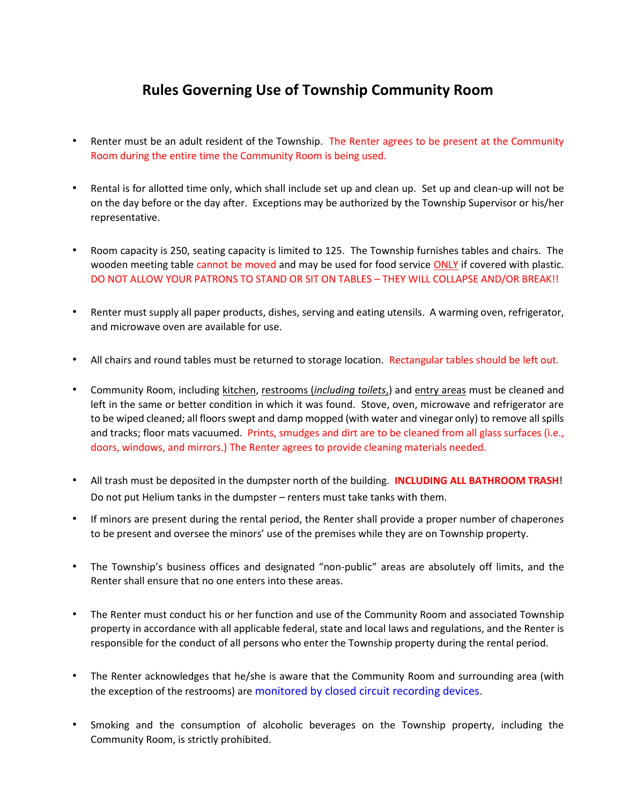## **Rules Governing Use of Township Community Room**

- Renter must be an adult resident of the Township. The Renter agrees to be present at the Community Room during the entire time the Community Room is being used.
- Rental is for allotted time only, which shall include set up and clean up. Set up and clean-up will not be on the day before or the day after. Exceptions may be authorized by the Township Supervisor or his/her representative.
- Room capacity is 250, seating capacity is limited to 125. The Township furnishes tables and chairs. The wooden meeting table cannot be moved and may be used for food service ONLY if covered with plastic. DO NOT ALLOW YOUR PATRONS TO STAND OR SIT ON TABLES – THEY WILL COLLAPSE AND/OR BREAK!!
- Renter must supply all paper products, dishes, serving and eating utensils. A warming oven, refrigerator, and microwave oven are available for use.
- All chairs and round tables must be returned to storage location. Rectangular tables should be left out.
- Community Room, including kitchen, restrooms (*including toilets*,) and entry areas must be cleaned and left in the same or better condition in which it was found. Stove, oven, microwave and refrigerator are to be wiped cleaned; all floors swept and damp mopped (with water and vinegar only) to remove all spills and tracks; floor mats vacuumed. Prints, smudges and dirt are to be cleaned from all glass surfaces (i.e., doors, windows, and mirrors.) The Renter agrees to provide cleaning materials needed.
- All trash must be deposited in the dumpster north of the building. **INCLUDING ALL BATHROOM TRASH**! Do not put Helium tanks in the dumpster – renters must take tanks with them.
- If minors are present during the rental period, the Renter shall provide a proper number of chaperones to be present and oversee the minors' use of the premises while they are on Township property.
- The Township's business offices and designated "non-public" areas are absolutely off limits, and the Renter shall ensure that no one enters into these areas.
- The Renter must conduct his or her function and use of the Community Room and associated Township property in accordance with all applicable federal, state and local laws and regulations, and the Renter is responsible for the conduct of all persons who enter the Township property during the rental period.
- The Renter acknowledges that he/she is aware that the Community Room and surrounding area (with the exception of the restrooms) are monitored by closed circuit recording devices.
- Smoking and the consumption of alcoholic beverages on the Township property, including the Community Room, is strictly prohibited.